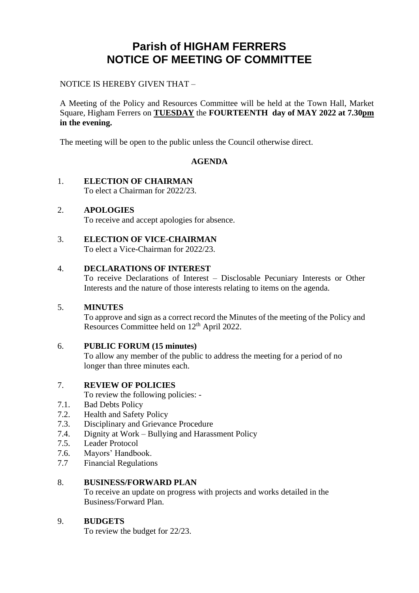# **Parish of HIGHAM FERRERS NOTICE OF MEETING OF COMMITTEE**

#### NOTICE IS HEREBY GIVEN THAT –

A Meeting of the Policy and Resources Committee will be held at the Town Hall, Market Square, Higham Ferrers on **TUESDAY** the **FOURTEENTH day of MAY 2022 at 7.30pm in the evening.**

The meeting will be open to the public unless the Council otherwise direct.

#### **AGENDA**

#### 1. **ELECTION OF CHAIRMAN**

To elect a Chairman for 2022/23.

#### 2. **APOLOGIES**

To receive and accept apologies for absence.

#### 3. **ELECTION OF VICE-CHAIRMAN**

To elect a Vice-Chairman for 2022/23.

#### 4. **DECLARATIONS OF INTEREST**

To receive Declarations of Interest – Disclosable Pecuniary Interests or Other Interests and the nature of those interests relating to items on the agenda.

#### 5. **MINUTES**

To approve and sign as a correct record the Minutes of the meeting of the Policy and Resources Committee held on 12<sup>th</sup> April 2022.

#### 6. **PUBLIC FORUM (15 minutes)**

To allow any member of the public to address the meeting for a period of no longer than three minutes each.

#### 7. **REVIEW OF POLICIES**

To review the following policies: -

- 7.1. Bad Debts Policy
- 7.2. Health and Safety Policy
- 7.3. Disciplinary and Grievance Procedure
- 7.4. Dignity at Work – Bullying and Harassment Policy
- 7.5. Leader Protocol
- 7.6. Mayors' Handbook.
- 7.7 Financial Regulations

#### 8. **BUSINESS/FORWARD PLAN**

To receive an update on progress with projects and works detailed in the Business/Forward Plan.

#### 9. **BUDGETS**

To review the budget for 22/23.